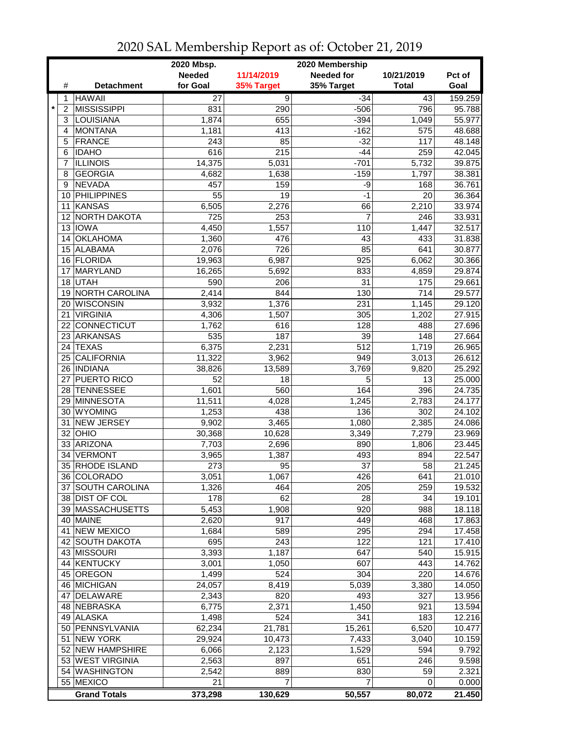|                           |                     | 2020 Mbsp.<br>2020 Membership |                |                   |                  |         |  |  |
|---------------------------|---------------------|-------------------------------|----------------|-------------------|------------------|---------|--|--|
|                           |                     | <b>Needed</b>                 | 11/14/2019     | <b>Needed for</b> | 10/21/2019       | Pct of  |  |  |
| #                         | <b>Detachment</b>   | for Goal                      | 35% Target     | 35% Target        | <b>Total</b>     | Goal    |  |  |
| 1                         | <b>HAWAII</b>       | 27                            | $\overline{9}$ | $-34$             | 43               | 159.259 |  |  |
| $\star$<br>$\overline{2}$ | <b>MISSISSIPPI</b>  | 831                           | 290            | $-506$            | 796              | 95.788  |  |  |
| 3                         | LOUISIANA           | 1,874                         | 655            | $-394$            | 1,049            | 55.977  |  |  |
| 4                         | <b>MONTANA</b>      | 1,181                         | 413            | $-162$            | 575              | 48.688  |  |  |
| 5                         | <b>FRANCE</b>       | 243                           | 85             | $-32$             | 117              | 48.148  |  |  |
| 6                         | <b>IDAHO</b>        | 616                           | 215            | $-44$             | 259              | 42.045  |  |  |
| 7                         | <b>ILLINOIS</b>     | 14,375                        | 5,031          | $-701$            | 5,732            | 39.875  |  |  |
| 8                         | <b>GEORGIA</b>      | 4,682                         | 1,638          | $-159$            | 1,797            | 38.381  |  |  |
| 9                         | <b>NEVADA</b>       | 457                           | 159            | -9                | 168              | 36.761  |  |  |
|                           | 10 PHILIPPINES      | 55                            | 19             | $-1$              | 20               | 36.364  |  |  |
|                           | 11 KANSAS           | 6,505                         | 2,276          | 66                | 2,210            | 33.974  |  |  |
|                           | 12 NORTH DAKOTA     | 725                           | 253            | $\overline{7}$    | 246              | 33.931  |  |  |
|                           | 13 IOWA             | 4,450                         | 1,557          | 110               | 1,447            | 32.517  |  |  |
|                           | 14 OKLAHOMA         | 1,360                         | 476            | 43                | 433              | 31.838  |  |  |
|                           | 15 ALABAMA          | 2,076                         | 726            | 85                | 641              | 30.877  |  |  |
|                           | 16 FLORIDA          | 19,963                        | 6,987          | 925               | 6,062            | 30.366  |  |  |
| 17                        | <b>MARYLAND</b>     | 16,265                        | 5,692          | 833               | 4,859            | 29.874  |  |  |
|                           | 18 UTAH             | 590                           | 206            | 31                | 175              | 29.661  |  |  |
|                           | 19 NORTH CAROLINA   | 2,414                         | 844            | 130               | 714              | 29.577  |  |  |
|                           | 20 WISCONSIN        | 3,932                         | 1,376          | 231               | 1,145            | 29.120  |  |  |
| 21                        | <b>VIRGINIA</b>     | 4,306                         | 1,507          | 305               | 1,202            | 27.915  |  |  |
| 22                        | CONNECTICUT         | 1,762                         | 616            | 128               | 488              | 27.696  |  |  |
| 23                        | ARKANSAS            | 535                           | 187            | 39                | 148              | 27.664  |  |  |
|                           | 24 TEXAS            | 6,375                         | 2,231          | 512               | 1,719            | 26.965  |  |  |
|                           | 25 CALIFORNIA       | 11,322                        | 3,962          | 949               | 3,013            | 26.612  |  |  |
|                           | 26   INDIANA        | 38,826                        | 13,589         | 3,769             | 9,820            | 25.292  |  |  |
|                           | 27 PUERTO RICO      | 52                            | 18             | 5                 | 13               | 25.000  |  |  |
|                           | 28 TENNESSEE        | 1,601                         | 560            | 164               | 396              | 24.735  |  |  |
|                           | 29 MINNESOTA        | 11,511                        | 4,028          | 1,245             | 2,783            | 24.177  |  |  |
| 30                        | <b>WYOMING</b>      | 1,253                         | 438            | 136               | 302              | 24.102  |  |  |
| 31 I                      | <b>NEW JERSEY</b>   | 9,902                         | 3,465          | 1,080             | 2,385            | 24.086  |  |  |
|                           | $32$ OHIO           | 30,368                        | 10,628         | 3,349             | 7,279            | 23.969  |  |  |
|                           | 33 ARIZONA          | 7,703                         | 2,696          | 890               | 1,806            | 23.445  |  |  |
| 34                        | <b>VERMONT</b>      | 3,965                         | 1,387          | 493               | 894              | 22.547  |  |  |
|                           | 35 RHODE ISLAND     | 273                           | 95             | 37                | 58               | 21.245  |  |  |
|                           | 36 COLORADO         | 3,051                         | 1,067          | 426               | 641              | 21.010  |  |  |
|                           | 37 SOUTH CAROLINA   | 1,326                         | 464            | 205               | 259              | 19.532  |  |  |
|                           | 38 DIST OF COL      | 178                           | 62             | 28                | 34               | 19.101  |  |  |
|                           | 39   MASSACHUSETTS  | 5,453                         | 1,908          | 920               | 988              | 18.118  |  |  |
|                           | 40 MAINE            | 2,620                         | 917            | 449               | 468              | 17.863  |  |  |
|                           | 41 NEW MEXICO       | 1,684                         | 589            | 295               | 294              | 17.458  |  |  |
|                           | 42 SOUTH DAKOTA     | 695                           | 243            | 122               | $\overline{121}$ | 17.410  |  |  |
|                           | 43 MISSOURI         | 3,393                         | 1,187          | 647               | 540              | 15.915  |  |  |
|                           | 44 KENTUCKY         | 3,001                         | 1,050          | 607               | 443              | 14.762  |  |  |
|                           | 45 OREGON           | 1,499                         | 524            | 304               | 220              | 14.676  |  |  |
|                           | 46 MICHIGAN         | 24,057                        | 8,419          | 5,039             | 3,380            | 14.050  |  |  |
|                           | 47 DELAWARE         | 2,343                         | 820            | 493               | 327              | 13.956  |  |  |
|                           | 48 NEBRASKA         | 6,775                         | 2,371          | 1,450             | 921              | 13.594  |  |  |
|                           | 49 ALASKA           | 1,498                         | 524            | 341               | 183              | 12.216  |  |  |
|                           | 50 PENNSYLVANIA     | 62,234                        | 21,781         | 15,261            | 6,520            | 10.477  |  |  |
|                           | 51 NEW YORK         | 29,924                        | 10,473         | 7,433             | 3,040            | 10.159  |  |  |
|                           | 52 NEW HAMPSHIRE    |                               | 2,123          | 1,529             | 594              | 9.792   |  |  |
|                           | 53 WEST VIRGINIA    | 6,066                         |                |                   |                  | 9.598   |  |  |
|                           |                     | 2,563                         | 897            | 651               | 246              |         |  |  |
|                           | 54 WASHINGTON       | 2,542                         | 889            | 830               | 59               | 2.321   |  |  |
|                           | 55 MEXICO           | 21                            | 7              | 7                 | 0                | 0.000   |  |  |
|                           | <b>Grand Totals</b> | 373,298                       | 130,629        | 50,557            | 80,072           | 21.450  |  |  |

## 2020 SAL Membership Report as of: October 21, 2019